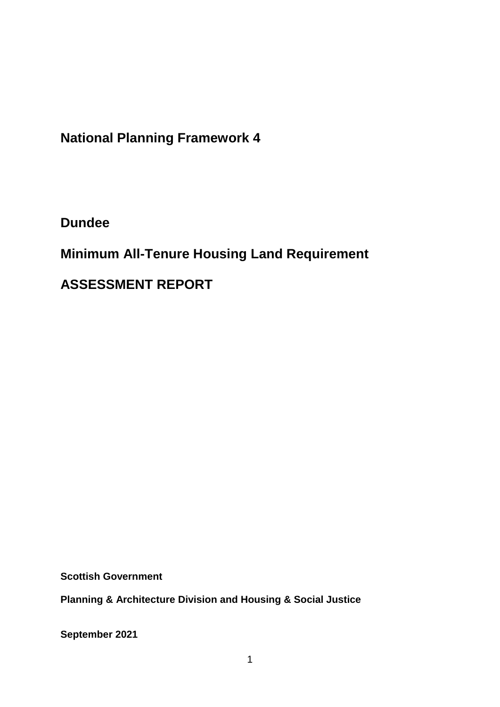**National Planning Framework 4**

**Dundee**

**Minimum All-Tenure Housing Land Requirement** 

**ASSESSMENT REPORT**

**Scottish Government**

**Planning & Architecture Division and Housing & Social Justice** 

**September 2021**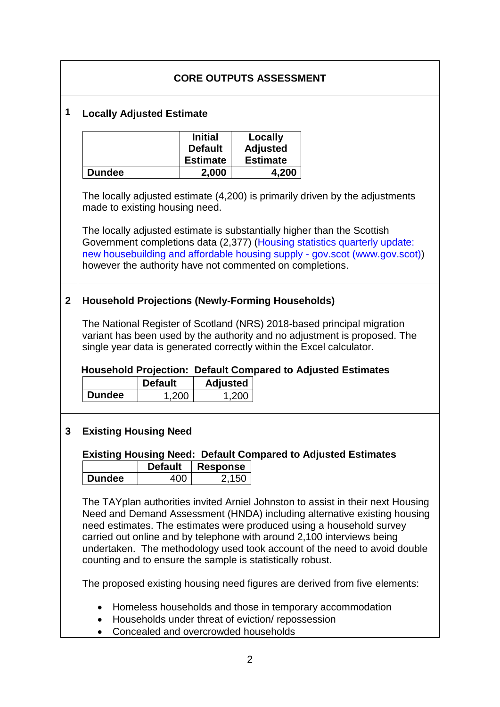| <b>CORE OUTPUTS ASSESSMENT</b> |                                                                                                                                                                                                                                                                                                                                                                                                                                                          |                |                                                     |                                               |  |  |
|--------------------------------|----------------------------------------------------------------------------------------------------------------------------------------------------------------------------------------------------------------------------------------------------------------------------------------------------------------------------------------------------------------------------------------------------------------------------------------------------------|----------------|-----------------------------------------------------|-----------------------------------------------|--|--|
| 1                              | <b>Locally Adjusted Estimate</b>                                                                                                                                                                                                                                                                                                                                                                                                                         |                |                                                     |                                               |  |  |
|                                |                                                                                                                                                                                                                                                                                                                                                                                                                                                          |                | <b>Initial</b><br><b>Default</b><br><b>Estimate</b> | Locally<br><b>Adjusted</b><br><b>Estimate</b> |  |  |
|                                | <b>Dundee</b>                                                                                                                                                                                                                                                                                                                                                                                                                                            |                | 2,000                                               | 4,200                                         |  |  |
|                                | The locally adjusted estimate (4,200) is primarily driven by the adjustments<br>made to existing housing need.<br>The locally adjusted estimate is substantially higher than the Scottish<br>Government completions data (2,377) (Housing statistics quarterly update:<br>new housebuilding and affordable housing supply - gov.scot (www.gov.scot))<br>however the authority have not commented on completions.                                         |                |                                                     |                                               |  |  |
|                                |                                                                                                                                                                                                                                                                                                                                                                                                                                                          |                |                                                     |                                               |  |  |
| $\mathbf 2$                    | <b>Household Projections (Newly-Forming Households)</b>                                                                                                                                                                                                                                                                                                                                                                                                  |                |                                                     |                                               |  |  |
|                                | The National Register of Scotland (NRS) 2018-based principal migration<br>variant has been used by the authority and no adjustment is proposed. The<br>single year data is generated correctly within the Excel calculator.<br><b>Household Projection: Default Compared to Adjusted Estimates</b>                                                                                                                                                       |                |                                                     |                                               |  |  |
|                                |                                                                                                                                                                                                                                                                                                                                                                                                                                                          | <b>Default</b> | <b>Adjusted</b>                                     |                                               |  |  |
|                                | <b>Dundee</b>                                                                                                                                                                                                                                                                                                                                                                                                                                            | 1,200          |                                                     | 1,200                                         |  |  |
| 3                              | <b>Existing Housing Need</b><br><b>Existing Housing Need: Default Compared to Adjusted Estimates</b><br><b>Default</b><br><b>Response</b>                                                                                                                                                                                                                                                                                                                |                |                                                     |                                               |  |  |
|                                | <b>Dundee</b>                                                                                                                                                                                                                                                                                                                                                                                                                                            | 400            |                                                     | 2,150                                         |  |  |
|                                | The TAYplan authorities invited Arniel Johnston to assist in their next Housing<br>Need and Demand Assessment (HNDA) including alternative existing housing<br>need estimates. The estimates were produced using a household survey<br>carried out online and by telephone with around 2,100 interviews being<br>undertaken. The methodology used took account of the need to avoid double<br>counting and to ensure the sample is statistically robust. |                |                                                     |                                               |  |  |
|                                | The proposed existing housing need figures are derived from five elements:                                                                                                                                                                                                                                                                                                                                                                               |                |                                                     |                                               |  |  |
|                                | Homeless households and those in temporary accommodation<br>Households under threat of eviction/repossession<br>$\bullet$<br>Concealed and overcrowded households                                                                                                                                                                                                                                                                                        |                |                                                     |                                               |  |  |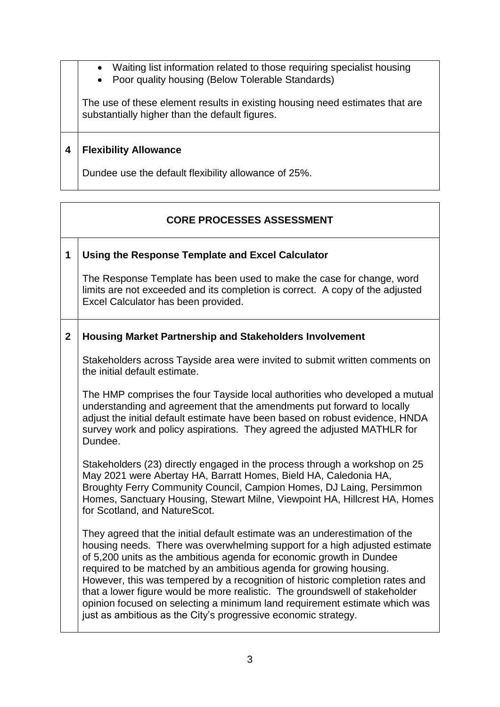- Waiting list information related to those requiring specialist housing
- Poor quality housing (Below Tolerable Standards)

The use of these element results in existing housing need estimates that are substantially higher than the default figures.

### **4 Flexibility Allowance**

Dundee use the default flexibility allowance of 25%.

## **CORE PROCESSES ASSESSMENT**

### **1 Using the Response Template and Excel Calculator**

The Response Template has been used to make the case for change, word limits are not exceeded and its completion is correct. A copy of the adjusted Excel Calculator has been provided.

### **2 Housing Market Partnership and Stakeholders Involvement**

Stakeholders across Tayside area were invited to submit written comments on the initial default estimate.

The HMP comprises the four Tayside local authorities who developed a mutual understanding and agreement that the amendments put forward to locally adjust the initial default estimate have been based on robust evidence, HNDA survey work and policy aspirations. They agreed the adjusted MATHLR for Dundee.

Stakeholders (23) directly engaged in the process through a workshop on 25 May 2021 were Abertay HA, Barratt Homes, Bield HA, Caledonia HA, Broughty Ferry Community Council, Campion Homes, DJ Laing, Persimmon Homes, Sanctuary Housing, Stewart Milne, Viewpoint HA, Hillcrest HA, Homes for Scotland, and NatureScot.

They agreed that the initial default estimate was an underestimation of the housing needs. There was overwhelming support for a high adjusted estimate of 5,200 units as the ambitious agenda for economic growth in Dundee required to be matched by an ambitious agenda for growing housing. However, this was tempered by a recognition of historic completion rates and that a lower figure would be more realistic. The groundswell of stakeholder opinion focused on selecting a minimum land requirement estimate which was just as ambitious as the City's progressive economic strategy.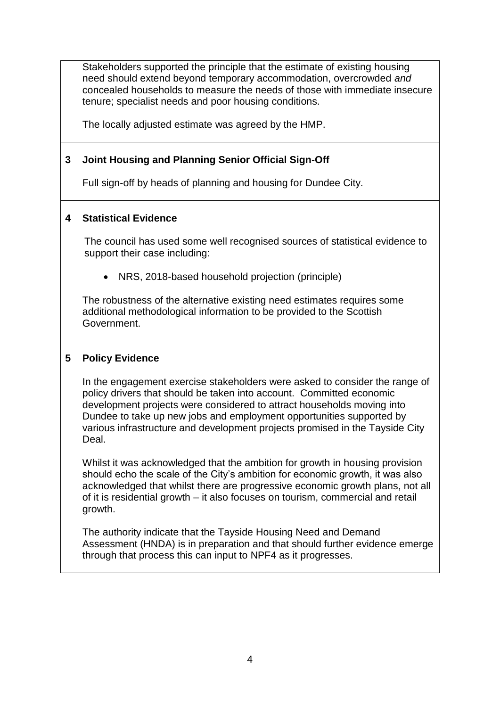|              | Stakeholders supported the principle that the estimate of existing housing<br>need should extend beyond temporary accommodation, overcrowded and<br>concealed households to measure the needs of those with immediate insecure<br>tenure; specialist needs and poor housing conditions.                                                                                                        |  |  |  |  |
|--------------|------------------------------------------------------------------------------------------------------------------------------------------------------------------------------------------------------------------------------------------------------------------------------------------------------------------------------------------------------------------------------------------------|--|--|--|--|
|              | The locally adjusted estimate was agreed by the HMP.                                                                                                                                                                                                                                                                                                                                           |  |  |  |  |
| $\mathbf{3}$ | Joint Housing and Planning Senior Official Sign-Off                                                                                                                                                                                                                                                                                                                                            |  |  |  |  |
|              | Full sign-off by heads of planning and housing for Dundee City.                                                                                                                                                                                                                                                                                                                                |  |  |  |  |
| 4            | <b>Statistical Evidence</b>                                                                                                                                                                                                                                                                                                                                                                    |  |  |  |  |
|              | The council has used some well recognised sources of statistical evidence to<br>support their case including:                                                                                                                                                                                                                                                                                  |  |  |  |  |
|              | NRS, 2018-based household projection (principle)                                                                                                                                                                                                                                                                                                                                               |  |  |  |  |
|              | The robustness of the alternative existing need estimates requires some<br>additional methodological information to be provided to the Scottish<br>Government.                                                                                                                                                                                                                                 |  |  |  |  |
| 5            | <b>Policy Evidence</b>                                                                                                                                                                                                                                                                                                                                                                         |  |  |  |  |
|              | In the engagement exercise stakeholders were asked to consider the range of<br>policy drivers that should be taken into account. Committed economic<br>development projects were considered to attract households moving into<br>Dundee to take up new jobs and employment opportunities supported by<br>various infrastructure and development projects promised in the Tayside City<br>Deal. |  |  |  |  |
|              | Whilst it was acknowledged that the ambition for growth in housing provision<br>should echo the scale of the City's ambition for economic growth, it was also<br>acknowledged that whilst there are progressive economic growth plans, not all<br>of it is residential growth - it also focuses on tourism, commercial and retail<br>growth.                                                   |  |  |  |  |
|              | The authority indicate that the Tayside Housing Need and Demand<br>Assessment (HNDA) is in preparation and that should further evidence emerge<br>through that process this can input to NPF4 as it progresses.                                                                                                                                                                                |  |  |  |  |